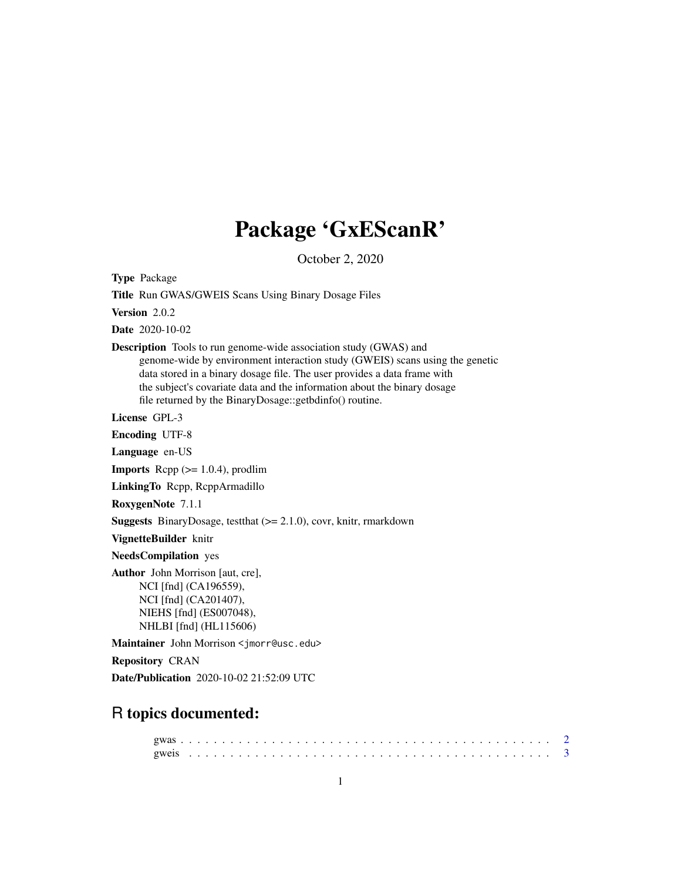# Package 'GxEScanR'

October 2, 2020

Type Package

Title Run GWAS/GWEIS Scans Using Binary Dosage Files

Version 2.0.2

Date 2020-10-02

Description Tools to run genome-wide association study (GWAS) and genome-wide by environment interaction study (GWEIS) scans using the genetic data stored in a binary dosage file. The user provides a data frame with the subject's covariate data and the information about the binary dosage file returned by the BinaryDosage::getbdinfo() routine.

License GPL-3

Encoding UTF-8

Language en-US

**Imports** Rcpp  $(>= 1.0.4)$ , prodlim

LinkingTo Rcpp, RcppArmadillo

RoxygenNote 7.1.1

Suggests BinaryDosage, testthat (>= 2.1.0), covr, knitr, rmarkdown

VignetteBuilder knitr

NeedsCompilation yes

Author John Morrison [aut, cre], NCI [fnd] (CA196559), NCI [fnd] (CA201407), NIEHS [fnd] (ES007048), NHLBI [fnd] (HL115606)

Maintainer John Morrison <jmorr@usc.edu>

Repository CRAN

Date/Publication 2020-10-02 21:52:09 UTC

# R topics documented: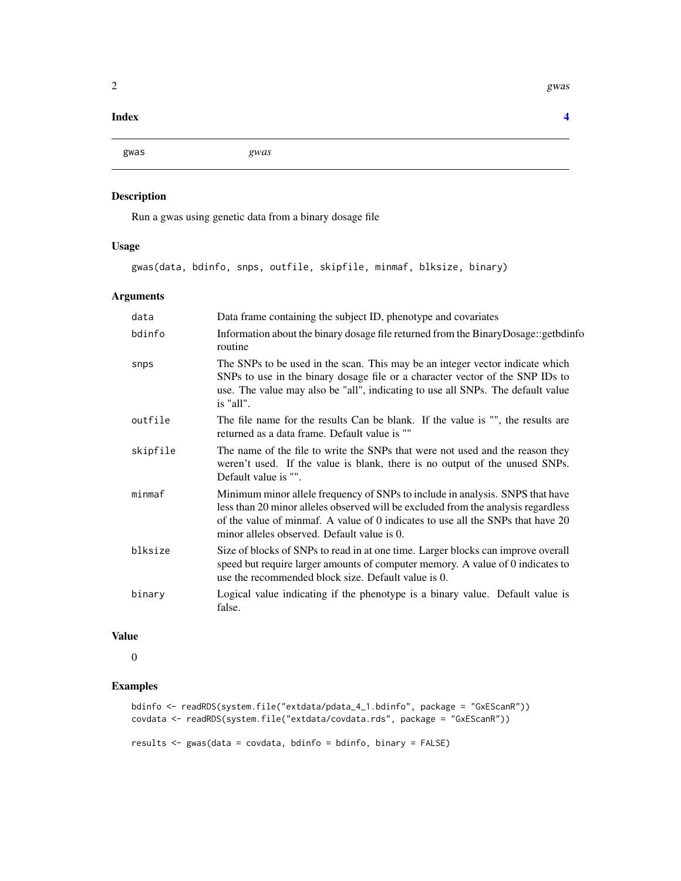#### <span id="page-1-0"></span>**Index** [4](#page-3-0)

gwas *gwas*

# Description

Run a gwas using genetic data from a binary dosage file

# Usage

gwas(data, bdinfo, snps, outfile, skipfile, minmaf, blksize, binary)

#### Arguments

| data     | Data frame containing the subject ID, phenotype and covariates                                                                                                                                                                                                                                       |
|----------|------------------------------------------------------------------------------------------------------------------------------------------------------------------------------------------------------------------------------------------------------------------------------------------------------|
| bdinfo   | Information about the binary dosage file returned from the BinaryDosage::getbdinfo<br>routine                                                                                                                                                                                                        |
| snps     | The SNPs to be used in the scan. This may be an integer vector indicate which<br>SNPs to use in the binary dosage file or a character vector of the SNP IDs to<br>use. The value may also be "all", indicating to use all SNPs. The default value<br>is "all".                                       |
| outfile  | The file name for the results Can be blank. If the value is "", the results are<br>returned as a data frame. Default value is ""                                                                                                                                                                     |
| skipfile | The name of the file to write the SNPs that were not used and the reason they<br>weren't used. If the value is blank, there is no output of the unused SNPs.<br>Default value is "".                                                                                                                 |
| minmax   | Minimum minor allele frequency of SNPs to include in analysis. SNPS that have<br>less than 20 minor alleles observed will be excluded from the analysis regardless<br>of the value of minmaf. A value of 0 indicates to use all the SNPs that have 20<br>minor alleles observed. Default value is 0. |
| blksize  | Size of blocks of SNPs to read in at one time. Larger blocks can improve overall<br>speed but require larger amounts of computer memory. A value of 0 indicates to<br>use the recommended block size. Default value is 0.                                                                            |
| binary   | Logical value indicating if the phenotype is a binary value. Default value is<br>false.                                                                                                                                                                                                              |

#### Value

0

# Examples

```
bdinfo <- readRDS(system.file("extdata/pdata_4_1.bdinfo", package = "GxEScanR"))
covdata <- readRDS(system.file("extdata/covdata.rds", package = "GxEScanR"))
```
results <- gwas(data = covdata, bdinfo = bdinfo, binary = FALSE)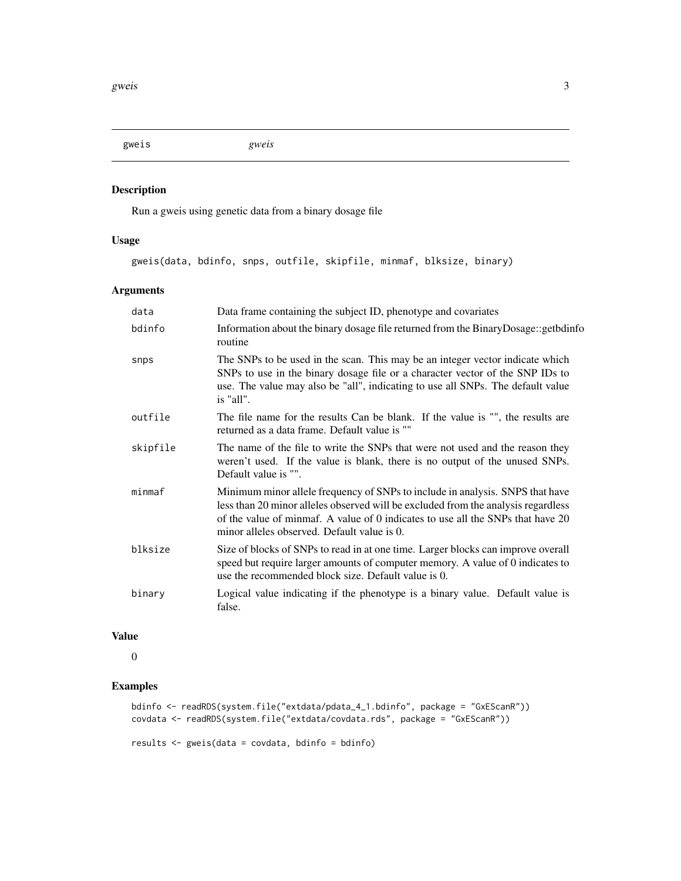<span id="page-2-0"></span>gweis *gweis*

# Description

Run a gweis using genetic data from a binary dosage file

#### Usage

gweis(data, bdinfo, snps, outfile, skipfile, minmaf, blksize, binary)

#### Arguments

| data     | Data frame containing the subject ID, phenotype and covariates                                                                                                                                                                                                                                       |
|----------|------------------------------------------------------------------------------------------------------------------------------------------------------------------------------------------------------------------------------------------------------------------------------------------------------|
| bdinfo   | Information about the binary dosage file returned from the BinaryDosage::getbdinfo<br>routine                                                                                                                                                                                                        |
| snps     | The SNPs to be used in the scan. This may be an integer vector indicate which<br>SNPs to use in the binary dosage file or a character vector of the SNP IDs to<br>use. The value may also be "all", indicating to use all SNPs. The default value<br>is "all".                                       |
| outfile  | The file name for the results Can be blank. If the value is "", the results are<br>returned as a data frame. Default value is ""                                                                                                                                                                     |
| skipfile | The name of the file to write the SNPs that were not used and the reason they<br>weren't used. If the value is blank, there is no output of the unused SNPs.<br>Default value is "".                                                                                                                 |
| minmax   | Minimum minor allele frequency of SNPs to include in analysis. SNPS that have<br>less than 20 minor alleles observed will be excluded from the analysis regardless<br>of the value of minmaf. A value of 0 indicates to use all the SNPs that have 20<br>minor alleles observed. Default value is 0. |
| blksize  | Size of blocks of SNPs to read in at one time. Larger blocks can improve overall<br>speed but require larger amounts of computer memory. A value of 0 indicates to<br>use the recommended block size. Default value is 0.                                                                            |
| binary   | Logical value indicating if the phenotype is a binary value. Default value is<br>false.                                                                                                                                                                                                              |

#### Value

0

# Examples

```
bdinfo <- readRDS(system.file("extdata/pdata_4_1.bdinfo", package = "GxEScanR"))
covdata <- readRDS(system.file("extdata/covdata.rds", package = "GxEScanR"))
```
results <- gweis(data = covdata, bdinfo = bdinfo)